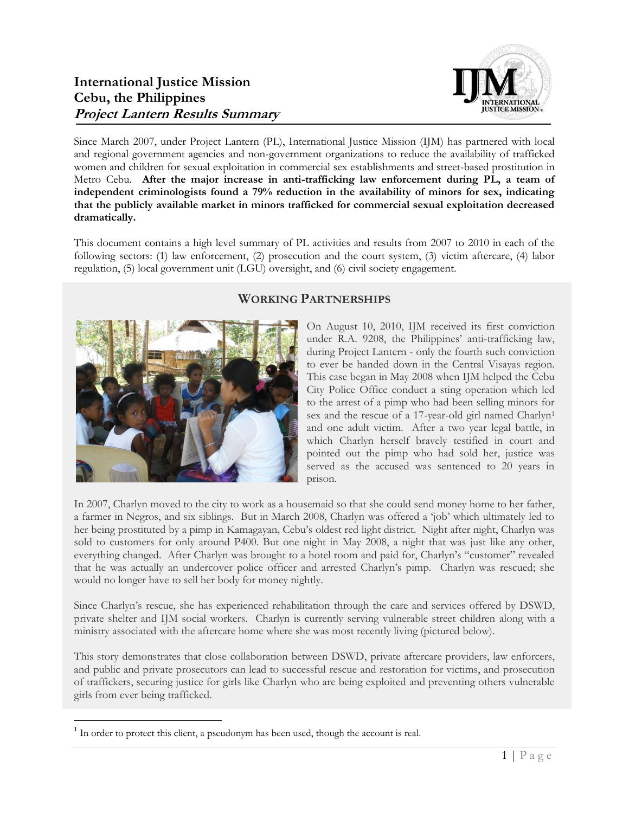

Since March 2007, under Project Lantern (PL), International Justice Mission (IJM) has partnered with local and regional government agencies and non-government organizations to reduce the availability of trafficked women and children for sexual exploitation in commercial sex establishments and street-based prostitution in Metro Cebu. **After the major increase in anti-trafficking law enforcement during PL, a team of independent criminologists found a 79% reduction in the availability of minors for sex, indicating that the publicly available market in minors trafficked for commercial sexual exploitation decreased dramatically.**

This document contains a high level summary of PL activities and results from 2007 to 2010 in each of the following sectors: (1) law enforcement, (2) prosecution and the court system, (3) victim aftercare, (4) labor regulation, (5) local government unit (LGU) oversight, and (6) civil society engagement.



# **WORKING PARTNERSHIPS**

On August 10, 2010, IJM received its first conviction under R.A. 9208, the Philippines' anti-trafficking law, during Project Lantern - only the fourth such conviction to ever be handed down in the Central Visayas region. This case began in May 2008 when IJM helped the Cebu City Police Office conduct a sting operation which led to the arrest of a pimp who had been selling minors for sex and the rescue of a 17-year-old girl named Charlyn<sup>1</sup> and one adult victim. After a two year legal battle, in which Charlyn herself bravely testified in court and pointed out the pimp who had sold her, justice was served as the accused was sentenced to 20 years in prison.

In 2007, Charlyn moved to the city to work as a housemaid so that she could send money home to her father, a farmer in Negros, and six siblings. But in March 2008, Charlyn was offered a 'job' which ultimately led to her being prostituted by a pimp in Kamagayan, Cebu's oldest red light district. Night after night, Charlyn was sold to customers for only around P400. But one night in May 2008, a night that was just like any other, everything changed. After Charlyn was brought to a hotel room and paid for, Charlyn's "customer" revealed that he was actually an undercover police officer and arrested Charlyn's pimp. Charlyn was rescued; she would no longer have to sell her body for money nightly.

Since Charlyn's rescue, she has experienced rehabilitation through the care and services offered by DSWD, private shelter and IJM social workers. Charlyn is currently serving vulnerable street children along with a ministry associated with the aftercare home where she was most recently living (pictured below).

This story demonstrates that close collaboration between DSWD, private aftercare providers, law enforcers, and public and private prosecutors can lead to successful rescue and restoration for victims, and prosecution of traffickers, securing justice for girls like Charlyn who are being exploited and preventing others vulnerable girls from ever being trafficked.

 $\overline{a}$  $<sup>1</sup>$  In order to protect this client, a pseudonym has been used, though the account is real.</sup>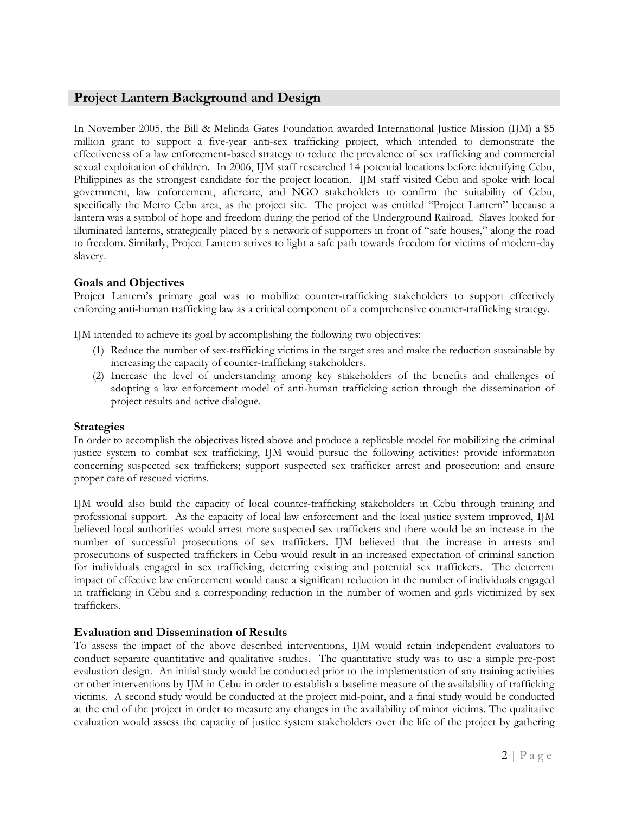# **Project Lantern Background and Design**

In November 2005, the Bill & Melinda Gates Foundation awarded International Justice Mission (IJM) a \$5 million grant to support a five-year anti-sex trafficking project, which intended to demonstrate the effectiveness of a law enforcement-based strategy to reduce the prevalence of sex trafficking and commercial sexual exploitation of children. In 2006, IJM staff researched 14 potential locations before identifying Cebu, Philippines as the strongest candidate for the project location. IJM staff visited Cebu and spoke with local government, law enforcement, aftercare, and NGO stakeholders to confirm the suitability of Cebu, specifically the Metro Cebu area, as the project site. The project was entitled "Project Lantern" because a lantern was a symbol of hope and freedom during the period of the Underground Railroad. Slaves looked for illuminated lanterns, strategically placed by a network of supporters in front of "safe houses," along the road to freedom. Similarly, Project Lantern strives to light a safe path towards freedom for victims of modern-day slavery.

# **Goals and Objectives**

Project Lantern's primary goal was to mobilize counter-trafficking stakeholders to support effectively enforcing anti-human trafficking law as a critical component of a comprehensive counter-trafficking strategy.

IJM intended to achieve its goal by accomplishing the following two objectives:

- (1) Reduce the number of sex-trafficking victims in the target area and make the reduction sustainable by increasing the capacity of counter-trafficking stakeholders.
- (2) Increase the level of understanding among key stakeholders of the benefits and challenges of adopting a law enforcement model of anti-human trafficking action through the dissemination of project results and active dialogue.

# **Strategies**

In order to accomplish the objectives listed above and produce a replicable model for mobilizing the criminal justice system to combat sex trafficking, IJM would pursue the following activities: provide information concerning suspected sex traffickers; support suspected sex trafficker arrest and prosecution; and ensure proper care of rescued victims.

IJM would also build the capacity of local counter-trafficking stakeholders in Cebu through training and professional support. As the capacity of local law enforcement and the local justice system improved, IJM believed local authorities would arrest more suspected sex traffickers and there would be an increase in the number of successful prosecutions of sex traffickers. IJM believed that the increase in arrests and prosecutions of suspected traffickers in Cebu would result in an increased expectation of criminal sanction for individuals engaged in sex trafficking, deterring existing and potential sex traffickers. The deterrent impact of effective law enforcement would cause a significant reduction in the number of individuals engaged in trafficking in Cebu and a corresponding reduction in the number of women and girls victimized by sex traffickers.

# **Evaluation and Dissemination of Results**

To assess the impact of the above described interventions, IJM would retain independent evaluators to conduct separate quantitative and qualitative studies. The quantitative study was to use a simple pre-post evaluation design. An initial study would be conducted prior to the implementation of any training activities or other interventions by IJM in Cebu in order to establish a baseline measure of the availability of trafficking victims. A second study would be conducted at the project mid-point, and a final study would be conducted at the end of the project in order to measure any changes in the availability of minor victims. The qualitative evaluation would assess the capacity of justice system stakeholders over the life of the project by gathering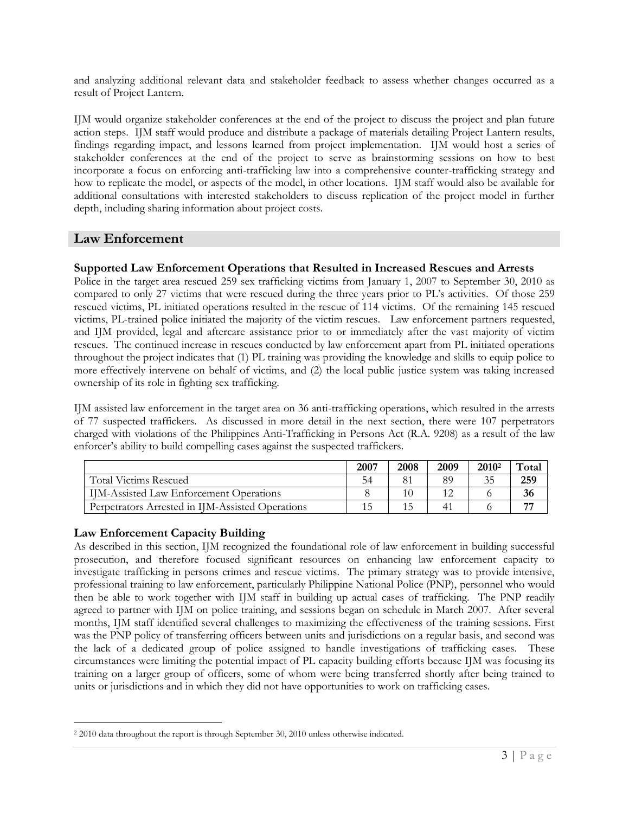and analyzing additional relevant data and stakeholder feedback to assess whether changes occurred as a result of Project Lantern.

IJM would organize stakeholder conferences at the end of the project to discuss the project and plan future action steps. IJM staff would produce and distribute a package of materials detailing Project Lantern results, findings regarding impact, and lessons learned from project implementation. IJM would host a series of stakeholder conferences at the end of the project to serve as brainstorming sessions on how to best incorporate a focus on enforcing anti-trafficking law into a comprehensive counter-trafficking strategy and how to replicate the model, or aspects of the model, in other locations. IJM staff would also be available for additional consultations with interested stakeholders to discuss replication of the project model in further depth, including sharing information about project costs.

# **Law Enforcement**

## **Supported Law Enforcement Operations that Resulted in Increased Rescues and Arrests**

Police in the target area rescued 259 sex trafficking victims from January 1, 2007 to September 30, 2010 as compared to only 27 victims that were rescued during the three years prior to PL's activities. Of those 259 rescued victims, PL initiated operations resulted in the rescue of 114 victims. Of the remaining 145 rescued victims, PL-trained police initiated the majority of the victim rescues. Law enforcement partners requested, and IJM provided, legal and aftercare assistance prior to or immediately after the vast majority of victim rescues. The continued increase in rescues conducted by law enforcement apart from PL initiated operations throughout the project indicates that (1) PL training was providing the knowledge and skills to equip police to more effectively intervene on behalf of victims, and (2) the local public justice system was taking increased ownership of its role in fighting sex trafficking.

IJM assisted law enforcement in the target area on 36 anti-trafficking operations, which resulted in the arrests of 77 suspected traffickers. As discussed in more detail in the next section, there were 107 perpetrators charged with violations of the Philippines Anti-Trafficking in Persons Act (R.A. 9208) as a result of the law enforcer's ability to build compelling cases against the suspected traffickers.

|                                                  | 2007 | 2008 | 2009 | 2010 <sup>2</sup> | $\tau_{\text{otan}}$ |
|--------------------------------------------------|------|------|------|-------------------|----------------------|
| <b>Total Victims Rescued</b>                     | 54   |      | 89   | 35                | 259                  |
| <b>IIM-Assisted Law Enforcement Operations</b>   |      | 10   |      |                   | 36                   |
| Perpetrators Arrested in IIM-Assisted Operations |      |      |      |                   | --                   |

# **Law Enforcement Capacity Building**

 $\overline{a}$ 

As described in this section, IJM recognized the foundational role of law enforcement in building successful prosecution, and therefore focused significant resources on enhancing law enforcement capacity to investigate trafficking in persons crimes and rescue victims. The primary strategy was to provide intensive, professional training to law enforcement, particularly Philippine National Police (PNP), personnel who would then be able to work together with IJM staff in building up actual cases of trafficking. The PNP readily agreed to partner with IJM on police training, and sessions began on schedule in March 2007. After several months, IJM staff identified several challenges to maximizing the effectiveness of the training sessions. First was the PNP policy of transferring officers between units and jurisdictions on a regular basis, and second was the lack of a dedicated group of police assigned to handle investigations of trafficking cases. These circumstances were limiting the potential impact of PL capacity building efforts because IJM was focusing its training on a larger group of officers, some of whom were being transferred shortly after being trained to units or jurisdictions and in which they did not have opportunities to work on trafficking cases.

<sup>2</sup> 2010 data throughout the report is through September 30, 2010 unless otherwise indicated.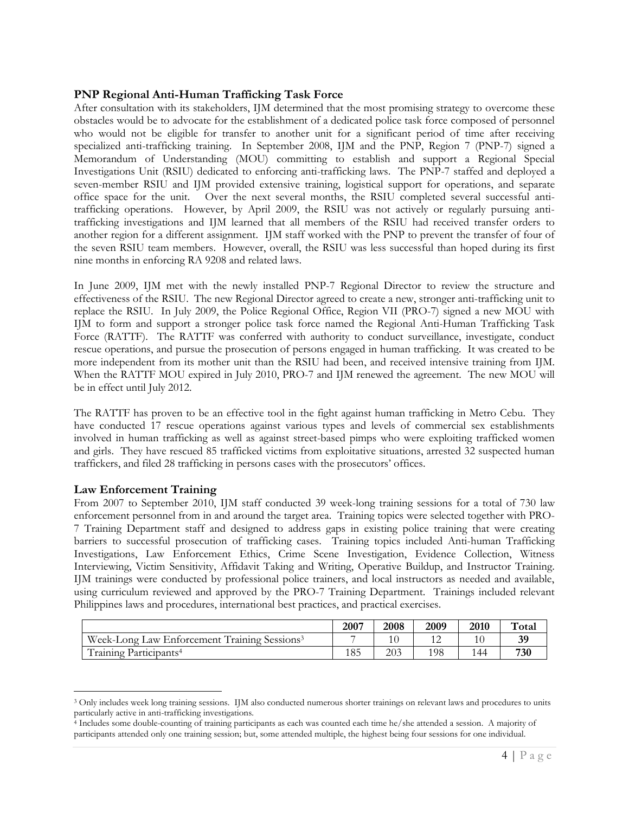## **PNP Regional Anti-Human Trafficking Task Force**

After consultation with its stakeholders, IJM determined that the most promising strategy to overcome these obstacles would be to advocate for the establishment of a dedicated police task force composed of personnel who would not be eligible for transfer to another unit for a significant period of time after receiving specialized anti-trafficking training. In September 2008, IJM and the PNP, Region 7 (PNP-7) signed a Memorandum of Understanding (MOU) committing to establish and support a Regional Special Investigations Unit (RSIU) dedicated to enforcing anti-trafficking laws. The PNP-7 staffed and deployed a seven-member RSIU and IJM provided extensive training, logistical support for operations, and separate office space for the unit. Over the next several months, the RSIU completed several successful antitrafficking operations. However, by April 2009, the RSIU was not actively or regularly pursuing antitrafficking investigations and IJM learned that all members of the RSIU had received transfer orders to another region for a different assignment. IJM staff worked with the PNP to prevent the transfer of four of the seven RSIU team members. However, overall, the RSIU was less successful than hoped during its first nine months in enforcing RA 9208 and related laws.

In June 2009, IJM met with the newly installed PNP-7 Regional Director to review the structure and effectiveness of the RSIU. The new Regional Director agreed to create a new, stronger anti-trafficking unit to replace the RSIU. In July 2009, the Police Regional Office, Region VII (PRO-7) signed a new MOU with IJM to form and support a stronger police task force named the Regional Anti-Human Trafficking Task Force (RATTF). The RATTF was conferred with authority to conduct surveillance, investigate, conduct rescue operations, and pursue the prosecution of persons engaged in human trafficking. It was created to be more independent from its mother unit than the RSIU had been, and received intensive training from IJM. When the RATTF MOU expired in July 2010, PRO-7 and IJM renewed the agreement. The new MOU will be in effect until July 2012.

The RATTF has proven to be an effective tool in the fight against human trafficking in Metro Cebu. They have conducted 17 rescue operations against various types and levels of commercial sex establishments involved in human trafficking as well as against street-based pimps who were exploiting trafficked women and girls. They have rescued 85 trafficked victims from exploitative situations, arrested 32 suspected human traffickers, and filed 28 trafficking in persons cases with the prosecutors' offices.

### **Law Enforcement Training**

From 2007 to September 2010, IJM staff conducted 39 week-long training sessions for a total of 730 law enforcement personnel from in and around the target area. Training topics were selected together with PRO-7 Training Department staff and designed to address gaps in existing police training that were creating barriers to successful prosecution of trafficking cases. Training topics included Anti-human Trafficking Investigations, Law Enforcement Ethics, Crime Scene Investigation, Evidence Collection, Witness Interviewing, Victim Sensitivity, Affidavit Taking and Writing, Operative Buildup, and Instructor Training. IJM trainings were conducted by professional police trainers, and local instructors as needed and available, using curriculum reviewed and approved by the PRO-7 Training Department. Trainings included relevant Philippines laws and procedures, international best practices, and practical exercises.

|                                                          | 2007 | 2008 | 2009 | 2010 | Total |
|----------------------------------------------------------|------|------|------|------|-------|
| Week-Long Law Enforcement Training Sessions <sup>3</sup> |      |      |      |      | 39    |
| Training Participants <sup>4</sup>                       | 185  | 203  | 198  | 144  | 730   |

 $\overline{a}$ <sup>3</sup> Only includes week long training sessions. IJM also conducted numerous shorter trainings on relevant laws and procedures to units particularly active in anti-trafficking investigations.

<sup>4</sup> Includes some double-counting of training participants as each was counted each time he/she attended a session. A majority of participants attended only one training session; but, some attended multiple, the highest being four sessions for one individual.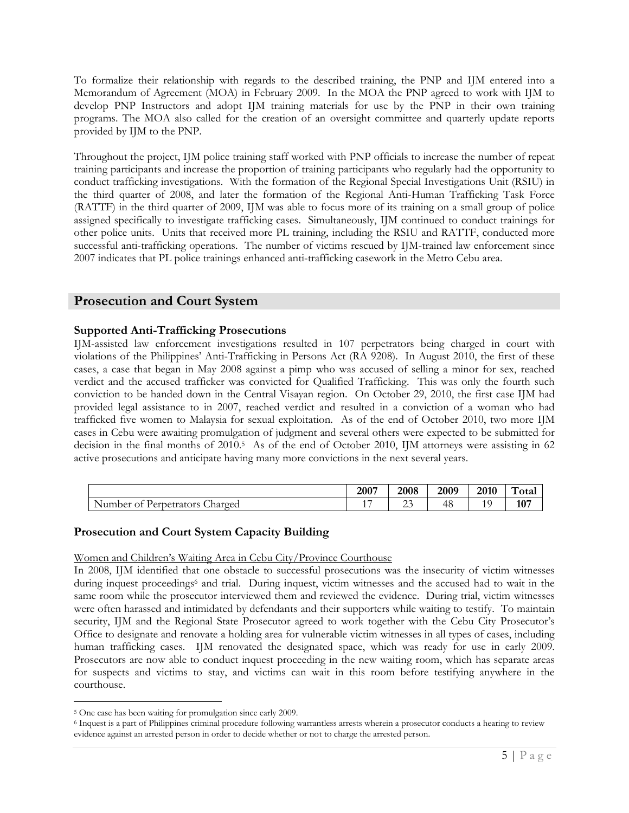To formalize their relationship with regards to the described training, the PNP and IJM entered into a Memorandum of Agreement (MOA) in February 2009. In the MOA the PNP agreed to work with IJM to develop PNP Instructors and adopt IJM training materials for use by the PNP in their own training programs. The MOA also called for the creation of an oversight committee and quarterly update reports provided by IJM to the PNP.

Throughout the project, IJM police training staff worked with PNP officials to increase the number of repeat training participants and increase the proportion of training participants who regularly had the opportunity to conduct trafficking investigations. With the formation of the Regional Special Investigations Unit (RSIU) in the third quarter of 2008, and later the formation of the Regional Anti-Human Trafficking Task Force (RATTF) in the third quarter of 2009, IJM was able to focus more of its training on a small group of police assigned specifically to investigate trafficking cases. Simultaneously, IJM continued to conduct trainings for other police units. Units that received more PL training, including the RSIU and RATTF, conducted more successful anti-trafficking operations. The number of victims rescued by IJM-trained law enforcement since 2007 indicates that PL police trainings enhanced anti-trafficking casework in the Metro Cebu area.

# **Prosecution and Court System**

## **Supported Anti-Trafficking Prosecutions**

IJM-assisted law enforcement investigations resulted in 107 perpetrators being charged in court with violations of the Philippines' Anti-Trafficking in Persons Act (RA 9208). In August 2010, the first of these cases, a case that began in May 2008 against a pimp who was accused of selling a minor for sex, reached verdict and the accused trafficker was convicted for Qualified Trafficking. This was only the fourth such conviction to be handed down in the Central Visayan region. On October 29, 2010, the first case IJM had provided legal assistance to in 2007, reached verdict and resulted in a conviction of a woman who had trafficked five women to Malaysia for sexual exploitation. As of the end of October 2010, two more IJM cases in Cebu were awaiting promulgation of judgment and several others were expected to be submitted for decision in the final months of 2010.<sup>5</sup> As of the end of October 2010, IJM attorneys were assisting in 62 active prosecutions and anticipate having many more convictions in the next several years.

|                                             | 2007                      | 2008         | 2009 | 2010 | $\mathbf{H}$<br>otal |
|---------------------------------------------|---------------------------|--------------|------|------|----------------------|
| Perpetrators<br>Charged<br>Number of<br>. . | $\rightarrow$<br><b>I</b> | $\sim$<br>ری | -48  | . .  | 107                  |

### **Prosecution and Court System Capacity Building**

### Women and Children's Waiting Area in Cebu City/Province Courthouse

In 2008, IJM identified that one obstacle to successful prosecutions was the insecurity of victim witnesses during inquest proceedings<sup>6</sup> and trial. During inquest, victim witnesses and the accused had to wait in the same room while the prosecutor interviewed them and reviewed the evidence. During trial, victim witnesses were often harassed and intimidated by defendants and their supporters while waiting to testify. To maintain security, IJM and the Regional State Prosecutor agreed to work together with the Cebu City Prosecutor's Office to designate and renovate a holding area for vulnerable victim witnesses in all types of cases, including human trafficking cases. IJM renovated the designated space, which was ready for use in early 2009. Prosecutors are now able to conduct inquest proceeding in the new waiting room, which has separate areas for suspects and victims to stay, and victims can wait in this room before testifying anywhere in the courthouse.

 $\overline{a}$ 

<sup>5</sup> One case has been waiting for promulgation since early 2009.

<sup>6</sup> Inquest is a part of Philippines criminal procedure following warrantless arrests wherein a prosecutor conducts a hearing to review evidence against an arrested person in order to decide whether or not to charge the arrested person.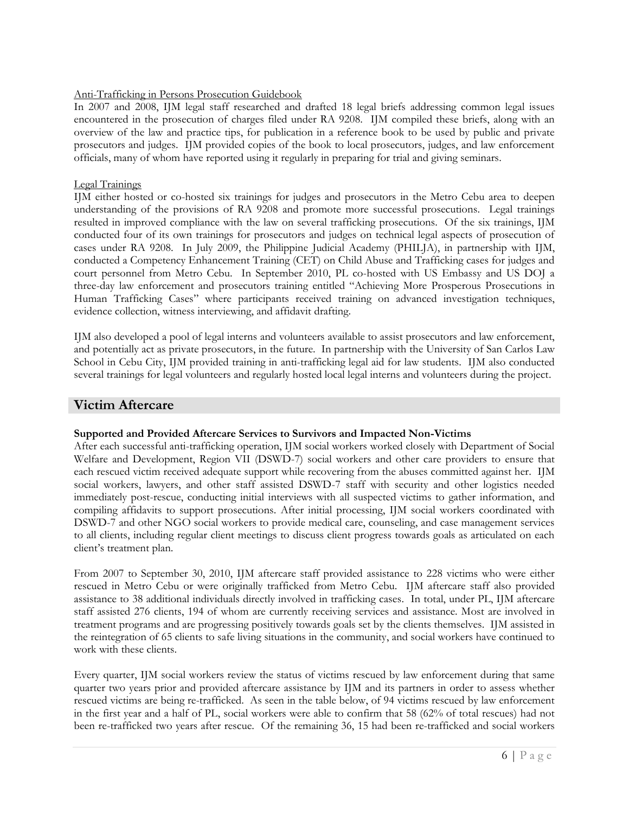### Anti-Trafficking in Persons Prosecution Guidebook

In 2007 and 2008, IJM legal staff researched and drafted 18 legal briefs addressing common legal issues encountered in the prosecution of charges filed under RA 9208. IJM compiled these briefs, along with an overview of the law and practice tips, for publication in a reference book to be used by public and private prosecutors and judges. IJM provided copies of the book to local prosecutors, judges, and law enforcement officials, many of whom have reported using it regularly in preparing for trial and giving seminars.

### Legal Trainings

IJM either hosted or co-hosted six trainings for judges and prosecutors in the Metro Cebu area to deepen understanding of the provisions of RA 9208 and promote more successful prosecutions. Legal trainings resulted in improved compliance with the law on several trafficking prosecutions. Of the six trainings, IJM conducted four of its own trainings for prosecutors and judges on technical legal aspects of prosecution of cases under RA 9208. In July 2009, the Philippine Judicial Academy (PHILJA), in partnership with IJM, conducted a Competency Enhancement Training (CET) on Child Abuse and Trafficking cases for judges and court personnel from Metro Cebu. In September 2010, PL co-hosted with US Embassy and US DOJ a three-day law enforcement and prosecutors training entitled "Achieving More Prosperous Prosecutions in Human Trafficking Cases" where participants received training on advanced investigation techniques, evidence collection, witness interviewing, and affidavit drafting.

IJM also developed a pool of legal interns and volunteers available to assist prosecutors and law enforcement, and potentially act as private prosecutors, in the future. In partnership with the University of San Carlos Law School in Cebu City, IJM provided training in anti-trafficking legal aid for law students. IJM also conducted several trainings for legal volunteers and regularly hosted local legal interns and volunteers during the project.

# **Victim Aftercare**

### **Supported and Provided Aftercare Services to Survivors and Impacted Non-Victims**

After each successful anti-trafficking operation, IJM social workers worked closely with Department of Social Welfare and Development, Region VII (DSWD-7) social workers and other care providers to ensure that each rescued victim received adequate support while recovering from the abuses committed against her. IJM social workers, lawyers, and other staff assisted DSWD-7 staff with security and other logistics needed immediately post-rescue, conducting initial interviews with all suspected victims to gather information, and compiling affidavits to support prosecutions. After initial processing, IJM social workers coordinated with DSWD-7 and other NGO social workers to provide medical care, counseling, and case management services to all clients, including regular client meetings to discuss client progress towards goals as articulated on each client's treatment plan.

From 2007 to September 30, 2010, IJM aftercare staff provided assistance to 228 victims who were either rescued in Metro Cebu or were originally trafficked from Metro Cebu. IJM aftercare staff also provided assistance to 38 additional individuals directly involved in trafficking cases. In total, under PL, IJM aftercare staff assisted 276 clients, 194 of whom are currently receiving services and assistance. Most are involved in treatment programs and are progressing positively towards goals set by the clients themselves. IJM assisted in the reintegration of 65 clients to safe living situations in the community, and social workers have continued to work with these clients.

Every quarter, IJM social workers review the status of victims rescued by law enforcement during that same quarter two years prior and provided aftercare assistance by IJM and its partners in order to assess whether rescued victims are being re-trafficked. As seen in the table below, of 94 victims rescued by law enforcement in the first year and a half of PL, social workers were able to confirm that 58 (62% of total rescues) had not been re-trafficked two years after rescue. Of the remaining 36, 15 had been re-trafficked and social workers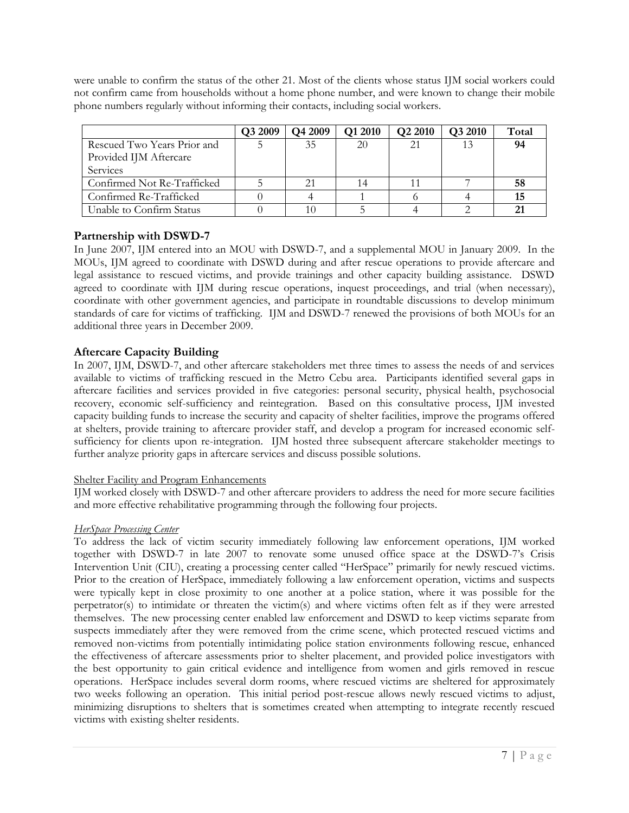were unable to confirm the status of the other 21. Most of the clients whose status IJM social workers could not confirm came from households without a home phone number, and were known to change their mobile phone numbers regularly without informing their contacts, including social workers.

|                             | Q3 2009 | Q4 2009 | Q1 2010 | Q2 2010 | Q3 2010 | Total |
|-----------------------------|---------|---------|---------|---------|---------|-------|
| Rescued Two Years Prior and |         | 35      | 20      | 21      |         | 94    |
| Provided IJM Aftercare      |         |         |         |         |         |       |
| Services                    |         |         |         |         |         |       |
| Confirmed Not Re-Trafficked |         |         |         |         |         | 58    |
| Confirmed Re-Trafficked     |         |         |         |         |         | 15    |
| Unable to Confirm Status    |         |         |         |         |         | 21    |

# **Partnership with DSWD-7**

In June 2007, IJM entered into an MOU with DSWD-7, and a supplemental MOU in January 2009. In the MOUs, IJM agreed to coordinate with DSWD during and after rescue operations to provide aftercare and legal assistance to rescued victims, and provide trainings and other capacity building assistance. DSWD agreed to coordinate with IJM during rescue operations, inquest proceedings, and trial (when necessary), coordinate with other government agencies, and participate in roundtable discussions to develop minimum standards of care for victims of trafficking. IJM and DSWD-7 renewed the provisions of both MOUs for an additional three years in December 2009.

# **Aftercare Capacity Building**

In 2007, IJM, DSWD-7, and other aftercare stakeholders met three times to assess the needs of and services available to victims of trafficking rescued in the Metro Cebu area. Participants identified several gaps in aftercare facilities and services provided in five categories: personal security, physical health, psychosocial recovery, economic self-sufficiency and reintegration. Based on this consultative process, IJM invested capacity building funds to increase the security and capacity of shelter facilities, improve the programs offered at shelters, provide training to aftercare provider staff, and develop a program for increased economic selfsufficiency for clients upon re-integration. IJM hosted three subsequent aftercare stakeholder meetings to further analyze priority gaps in aftercare services and discuss possible solutions.

# Shelter Facility and Program Enhancements

IJM worked closely with DSWD-7 and other aftercare providers to address the need for more secure facilities and more effective rehabilitative programming through the following four projects.

# *HerSpace Processing Center*

To address the lack of victim security immediately following law enforcement operations, IJM worked together with DSWD-7 in late 2007 to renovate some unused office space at the DSWD-7's Crisis Intervention Unit (CIU), creating a processing center called "HerSpace" primarily for newly rescued victims. Prior to the creation of HerSpace, immediately following a law enforcement operation, victims and suspects were typically kept in close proximity to one another at a police station, where it was possible for the perpetrator(s) to intimidate or threaten the victim(s) and where victims often felt as if they were arrested themselves. The new processing center enabled law enforcement and DSWD to keep victims separate from suspects immediately after they were removed from the crime scene, which protected rescued victims and removed non-victims from potentially intimidating police station environments following rescue, enhanced the effectiveness of aftercare assessments prior to shelter placement, and provided police investigators with the best opportunity to gain critical evidence and intelligence from women and girls removed in rescue operations. HerSpace includes several dorm rooms, where rescued victims are sheltered for approximately two weeks following an operation. This initial period post-rescue allows newly rescued victims to adjust, minimizing disruptions to shelters that is sometimes created when attempting to integrate recently rescued victims with existing shelter residents.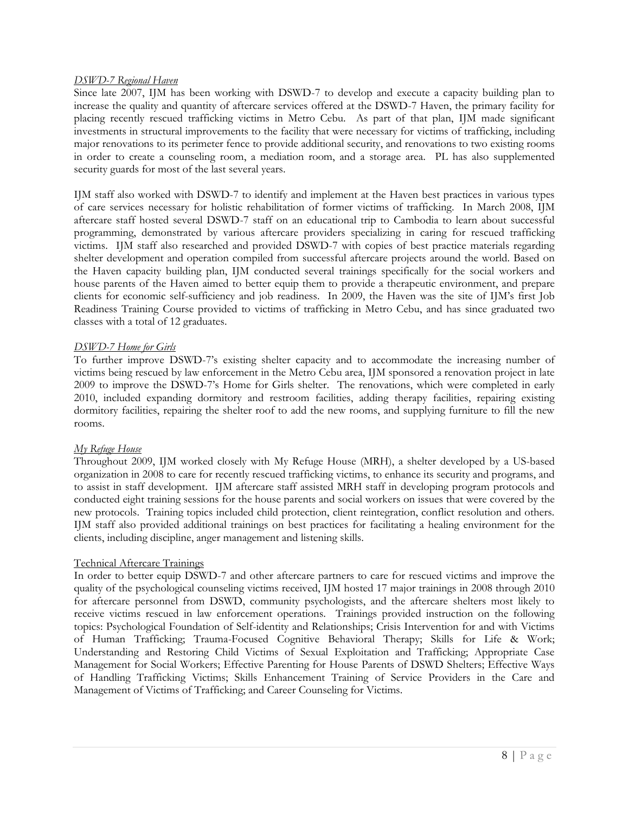#### *DSWD-7 Regional Haven*

Since late 2007, IJM has been working with DSWD-7 to develop and execute a capacity building plan to increase the quality and quantity of aftercare services offered at the DSWD-7 Haven, the primary facility for placing recently rescued trafficking victims in Metro Cebu. As part of that plan, IJM made significant investments in structural improvements to the facility that were necessary for victims of trafficking, including major renovations to its perimeter fence to provide additional security, and renovations to two existing rooms in order to create a counseling room, a mediation room, and a storage area. PL has also supplemented security guards for most of the last several years.

IJM staff also worked with DSWD-7 to identify and implement at the Haven best practices in various types of care services necessary for holistic rehabilitation of former victims of trafficking. In March 2008, IJM aftercare staff hosted several DSWD-7 staff on an educational trip to Cambodia to learn about successful programming, demonstrated by various aftercare providers specializing in caring for rescued trafficking victims. IJM staff also researched and provided DSWD-7 with copies of best practice materials regarding shelter development and operation compiled from successful aftercare projects around the world. Based on the Haven capacity building plan, IJM conducted several trainings specifically for the social workers and house parents of the Haven aimed to better equip them to provide a therapeutic environment, and prepare clients for economic self-sufficiency and job readiness. In 2009, the Haven was the site of IJM's first Job Readiness Training Course provided to victims of trafficking in Metro Cebu, and has since graduated two classes with a total of 12 graduates.

### *DSWD-7 Home for Girls*

To further improve DSWD-7's existing shelter capacity and to accommodate the increasing number of victims being rescued by law enforcement in the Metro Cebu area, IJM sponsored a renovation project in late 2009 to improve the DSWD-7's Home for Girls shelter. The renovations, which were completed in early 2010, included expanding dormitory and restroom facilities, adding therapy facilities, repairing existing dormitory facilities, repairing the shelter roof to add the new rooms, and supplying furniture to fill the new rooms.

#### *My Refuge House*

Throughout 2009, IJM worked closely with My Refuge House (MRH), a shelter developed by a US-based organization in 2008 to care for recently rescued trafficking victims, to enhance its security and programs, and to assist in staff development. IJM aftercare staff assisted MRH staff in developing program protocols and conducted eight training sessions for the house parents and social workers on issues that were covered by the new protocols. Training topics included child protection, client reintegration, conflict resolution and others. IJM staff also provided additional trainings on best practices for facilitating a healing environment for the clients, including discipline, anger management and listening skills.

### Technical Aftercare Trainings

In order to better equip DSWD-7 and other aftercare partners to care for rescued victims and improve the quality of the psychological counseling victims received, IJM hosted 17 major trainings in 2008 through 2010 for aftercare personnel from DSWD, community psychologists, and the aftercare shelters most likely to receive victims rescued in law enforcement operations. Trainings provided instruction on the following topics: Psychological Foundation of Self-identity and Relationships; Crisis Intervention for and with Victims of Human Trafficking; Trauma-Focused Cognitive Behavioral Therapy; Skills for Life & Work; Understanding and Restoring Child Victims of Sexual Exploitation and Trafficking; Appropriate Case Management for Social Workers; Effective Parenting for House Parents of DSWD Shelters; Effective Ways of Handling Trafficking Victims; Skills Enhancement Training of Service Providers in the Care and Management of Victims of Trafficking; and Career Counseling for Victims.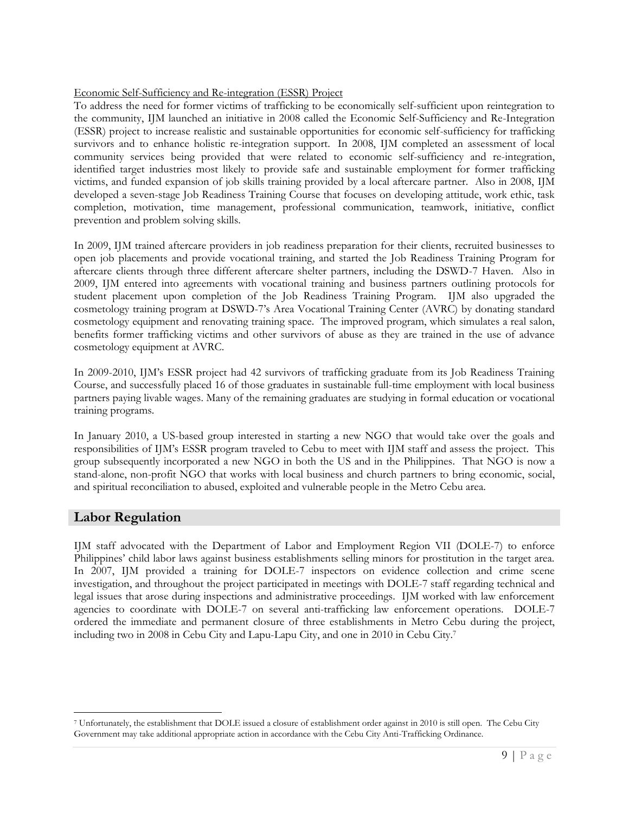### Economic Self-Sufficiency and Re-integration (ESSR) Project

To address the need for former victims of trafficking to be economically self-sufficient upon reintegration to the community, IJM launched an initiative in 2008 called the Economic Self-Sufficiency and Re-Integration (ESSR) project to increase realistic and sustainable opportunities for economic self-sufficiency for trafficking survivors and to enhance holistic re-integration support. In 2008, IJM completed an assessment of local community services being provided that were related to economic self-sufficiency and re-integration, identified target industries most likely to provide safe and sustainable employment for former trafficking victims, and funded expansion of job skills training provided by a local aftercare partner. Also in 2008, IJM developed a seven-stage Job Readiness Training Course that focuses on developing attitude, work ethic, task completion, motivation, time management, professional communication, teamwork, initiative, conflict prevention and problem solving skills.

In 2009, IJM trained aftercare providers in job readiness preparation for their clients, recruited businesses to open job placements and provide vocational training, and started the Job Readiness Training Program for aftercare clients through three different aftercare shelter partners, including the DSWD-7 Haven. Also in 2009, IJM entered into agreements with vocational training and business partners outlining protocols for student placement upon completion of the Job Readiness Training Program. IJM also upgraded the cosmetology training program at DSWD-7's Area Vocational Training Center (AVRC) by donating standard cosmetology equipment and renovating training space. The improved program, which simulates a real salon, benefits former trafficking victims and other survivors of abuse as they are trained in the use of advance cosmetology equipment at AVRC.

In 2009-2010, IJM's ESSR project had 42 survivors of trafficking graduate from its Job Readiness Training Course, and successfully placed 16 of those graduates in sustainable full-time employment with local business partners paying livable wages. Many of the remaining graduates are studying in formal education or vocational training programs.

In January 2010, a US-based group interested in starting a new NGO that would take over the goals and responsibilities of IJM's ESSR program traveled to Cebu to meet with IJM staff and assess the project. This group subsequently incorporated a new NGO in both the US and in the Philippines. That NGO is now a stand-alone, non-profit NGO that works with local business and church partners to bring economic, social, and spiritual reconciliation to abused, exploited and vulnerable people in the Metro Cebu area.

# **Labor Regulation**

 $\overline{a}$ 

IJM staff advocated with the Department of Labor and Employment Region VII (DOLE-7) to enforce Philippines' child labor laws against business establishments selling minors for prostitution in the target area. In 2007, IJM provided a training for DOLE-7 inspectors on evidence collection and crime scene investigation, and throughout the project participated in meetings with DOLE-7 staff regarding technical and legal issues that arose during inspections and administrative proceedings. IJM worked with law enforcement agencies to coordinate with DOLE-7 on several anti-trafficking law enforcement operations. DOLE-7 ordered the immediate and permanent closure of three establishments in Metro Cebu during the project, including two in 2008 in Cebu City and Lapu-Lapu City, and one in 2010 in Cebu City.<sup>7</sup>

<sup>7</sup> Unfortunately, the establishment that DOLE issued a closure of establishment order against in 2010 is still open. The Cebu City Government may take additional appropriate action in accordance with the Cebu City Anti-Trafficking Ordinance.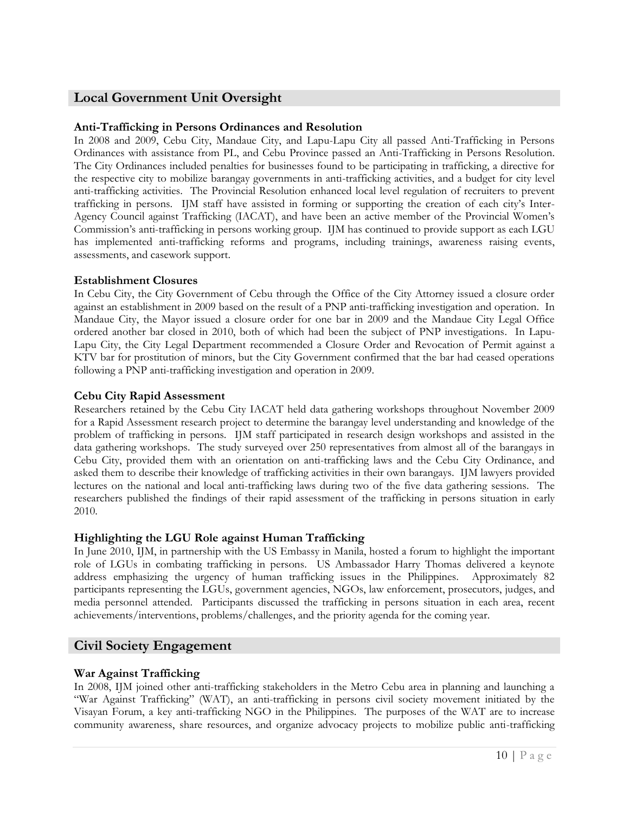# **Local Government Unit Oversight**

# **Anti-Trafficking in Persons Ordinances and Resolution**

In 2008 and 2009, Cebu City, Mandaue City, and Lapu-Lapu City all passed Anti-Trafficking in Persons Ordinances with assistance from PL, and Cebu Province passed an Anti-Trafficking in Persons Resolution. The City Ordinances included penalties for businesses found to be participating in trafficking, a directive for the respective city to mobilize barangay governments in anti-trafficking activities, and a budget for city level anti-trafficking activities. The Provincial Resolution enhanced local level regulation of recruiters to prevent trafficking in persons. IJM staff have assisted in forming or supporting the creation of each city's Inter-Agency Council against Trafficking (IACAT), and have been an active member of the Provincial Women's Commission's anti-trafficking in persons working group. IJM has continued to provide support as each LGU has implemented anti-trafficking reforms and programs, including trainings, awareness raising events, assessments, and casework support.

## **Establishment Closures**

In Cebu City, the City Government of Cebu through the Office of the City Attorney issued a closure order against an establishment in 2009 based on the result of a PNP anti-trafficking investigation and operation. In Mandaue City, the Mayor issued a closure order for one bar in 2009 and the Mandaue City Legal Office ordered another bar closed in 2010, both of which had been the subject of PNP investigations. In Lapu-Lapu City, the City Legal Department recommended a Closure Order and Revocation of Permit against a KTV bar for prostitution of minors, but the City Government confirmed that the bar had ceased operations following a PNP anti-trafficking investigation and operation in 2009.

## **Cebu City Rapid Assessment**

Researchers retained by the Cebu City IACAT held data gathering workshops throughout November 2009 for a Rapid Assessment research project to determine the barangay level understanding and knowledge of the problem of trafficking in persons. IJM staff participated in research design workshops and assisted in the data gathering workshops. The study surveyed over 250 representatives from almost all of the barangays in Cebu City, provided them with an orientation on anti-trafficking laws and the Cebu City Ordinance, and asked them to describe their knowledge of trafficking activities in their own barangays. IJM lawyers provided lectures on the national and local anti-trafficking laws during two of the five data gathering sessions. The researchers published the findings of their rapid assessment of the trafficking in persons situation in early 2010.

### **Highlighting the LGU Role against Human Trafficking**

In June 2010, IJM, in partnership with the US Embassy in Manila, hosted a forum to highlight the important role of LGUs in combating trafficking in persons. US Ambassador Harry Thomas delivered a keynote address emphasizing the urgency of human trafficking issues in the Philippines. Approximately 82 participants representing the LGUs, government agencies, NGOs, law enforcement, prosecutors, judges, and media personnel attended. Participants discussed the trafficking in persons situation in each area, recent achievements/interventions, problems/challenges, and the priority agenda for the coming year.

# **Civil Society Engagement**

### **War Against Trafficking**

In 2008, IJM joined other anti-trafficking stakeholders in the Metro Cebu area in planning and launching a "War Against Trafficking" (WAT), an anti-trafficking in persons civil society movement initiated by the Visayan Forum, a key anti-trafficking NGO in the Philippines. The purposes of the WAT are to increase community awareness, share resources, and organize advocacy projects to mobilize public anti-trafficking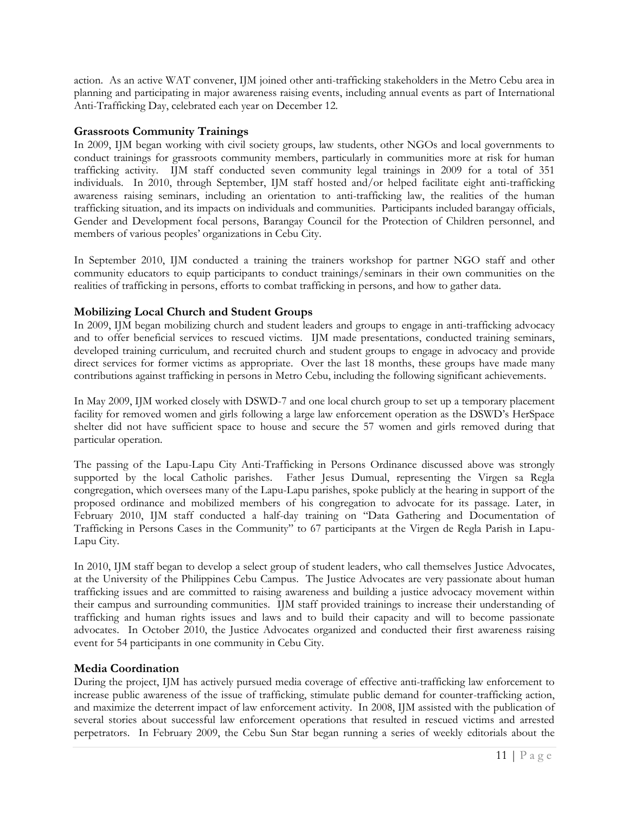action. As an active WAT convener, IJM joined other anti-trafficking stakeholders in the Metro Cebu area in planning and participating in major awareness raising events, including annual events as part of International Anti-Trafficking Day, celebrated each year on December 12.

## **Grassroots Community Trainings**

In 2009, IJM began working with civil society groups, law students, other NGOs and local governments to conduct trainings for grassroots community members, particularly in communities more at risk for human trafficking activity. IJM staff conducted seven community legal trainings in 2009 for a total of 351 individuals. In 2010, through September, IJM staff hosted and/or helped facilitate eight anti-trafficking awareness raising seminars, including an orientation to anti-trafficking law, the realities of the human trafficking situation, and its impacts on individuals and communities. Participants included barangay officials, Gender and Development focal persons, Barangay Council for the Protection of Children personnel, and members of various peoples' organizations in Cebu City.

In September 2010, IJM conducted a training the trainers workshop for partner NGO staff and other community educators to equip participants to conduct trainings/seminars in their own communities on the realities of trafficking in persons, efforts to combat trafficking in persons, and how to gather data.

## **Mobilizing Local Church and Student Groups**

In 2009, IJM began mobilizing church and student leaders and groups to engage in anti-trafficking advocacy and to offer beneficial services to rescued victims. IJM made presentations, conducted training seminars, developed training curriculum, and recruited church and student groups to engage in advocacy and provide direct services for former victims as appropriate. Over the last 18 months, these groups have made many contributions against trafficking in persons in Metro Cebu, including the following significant achievements.

In May 2009, IJM worked closely with DSWD-7 and one local church group to set up a temporary placement facility for removed women and girls following a large law enforcement operation as the DSWD's HerSpace shelter did not have sufficient space to house and secure the 57 women and girls removed during that particular operation.

The passing of the Lapu-Lapu City Anti-Trafficking in Persons Ordinance discussed above was strongly supported by the local Catholic parishes. Father Jesus Dumual, representing the Virgen sa Regla congregation, which oversees many of the Lapu-Lapu parishes, spoke publicly at the hearing in support of the proposed ordinance and mobilized members of his congregation to advocate for its passage. Later, in February 2010, IJM staff conducted a half-day training on "Data Gathering and Documentation of Trafficking in Persons Cases in the Community" to 67 participants at the Virgen de Regla Parish in Lapu-Lapu City.

In 2010, IJM staff began to develop a select group of student leaders, who call themselves Justice Advocates, at the University of the Philippines Cebu Campus. The Justice Advocates are very passionate about human trafficking issues and are committed to raising awareness and building a justice advocacy movement within their campus and surrounding communities. IJM staff provided trainings to increase their understanding of trafficking and human rights issues and laws and to build their capacity and will to become passionate advocates. In October 2010, the Justice Advocates organized and conducted their first awareness raising event for 54 participants in one community in Cebu City.

### **Media Coordination**

During the project, IJM has actively pursued media coverage of effective anti-trafficking law enforcement to increase public awareness of the issue of trafficking, stimulate public demand for counter-trafficking action, and maximize the deterrent impact of law enforcement activity. In 2008, IJM assisted with the publication of several stories about successful law enforcement operations that resulted in rescued victims and arrested perpetrators. In February 2009, the Cebu Sun Star began running a series of weekly editorials about the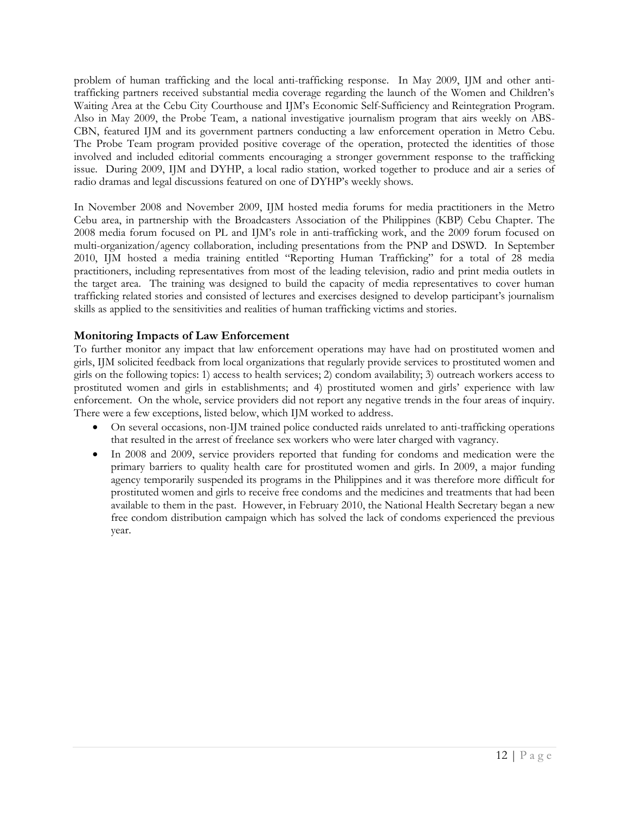problem of human trafficking and the local anti-trafficking response. In May 2009, IJM and other antitrafficking partners received substantial media coverage regarding the launch of the Women and Children's Waiting Area at the Cebu City Courthouse and IJM's Economic Self-Sufficiency and Reintegration Program. Also in May 2009, the Probe Team, a national investigative journalism program that airs weekly on ABS-CBN, featured IJM and its government partners conducting a law enforcement operation in Metro Cebu. The Probe Team program provided positive coverage of the operation, protected the identities of those involved and included editorial comments encouraging a stronger government response to the trafficking issue. During 2009, IJM and DYHP, a local radio station, worked together to produce and air a series of radio dramas and legal discussions featured on one of DYHP's weekly shows.

In November 2008 and November 2009, IJM hosted media forums for media practitioners in the Metro Cebu area, in partnership with the Broadcasters Association of the Philippines (KBP) Cebu Chapter. The 2008 media forum focused on PL and IJM's role in anti-trafficking work, and the 2009 forum focused on multi-organization/agency collaboration, including presentations from the PNP and DSWD. In September 2010, IJM hosted a media training entitled "Reporting Human Trafficking" for a total of 28 media practitioners, including representatives from most of the leading television, radio and print media outlets in the target area. The training was designed to build the capacity of media representatives to cover human trafficking related stories and consisted of lectures and exercises designed to develop participant's journalism skills as applied to the sensitivities and realities of human trafficking victims and stories.

# **Monitoring Impacts of Law Enforcement**

To further monitor any impact that law enforcement operations may have had on prostituted women and girls, IJM solicited feedback from local organizations that regularly provide services to prostituted women and girls on the following topics: 1) access to health services; 2) condom availability; 3) outreach workers access to prostituted women and girls in establishments; and 4) prostituted women and girls' experience with law enforcement. On the whole, service providers did not report any negative trends in the four areas of inquiry. There were a few exceptions, listed below, which IJM worked to address.

- On several occasions, non-IJM trained police conducted raids unrelated to anti-trafficking operations that resulted in the arrest of freelance sex workers who were later charged with vagrancy.
- In 2008 and 2009, service providers reported that funding for condoms and medication were the primary barriers to quality health care for prostituted women and girls. In 2009, a major funding agency temporarily suspended its programs in the Philippines and it was therefore more difficult for prostituted women and girls to receive free condoms and the medicines and treatments that had been available to them in the past. However, in February 2010, the National Health Secretary began a new free condom distribution campaign which has solved the lack of condoms experienced the previous year.